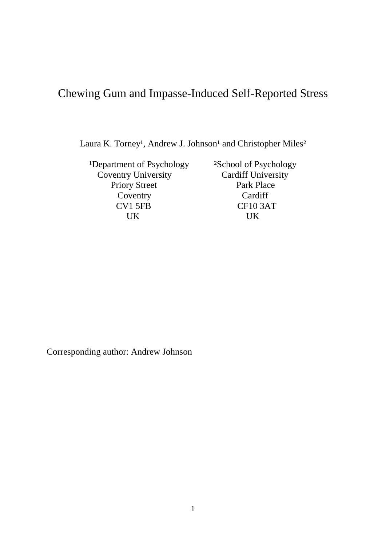# Chewing Gum and Impasse-Induced Self-Reported Stress

Laura K. Torney<sup>1</sup>, Andrew J. Johnson<sup>1</sup> and Christopher Miles<sup>2</sup>

<sup>1</sup>Department of Psychology <sup>2</sup>School of Psychology Coventry University Cardiff University Priory Street Park Place Coventry Cardiff CV1 5FB CF10 3AT

UK UK

Corresponding author: Andrew Johnson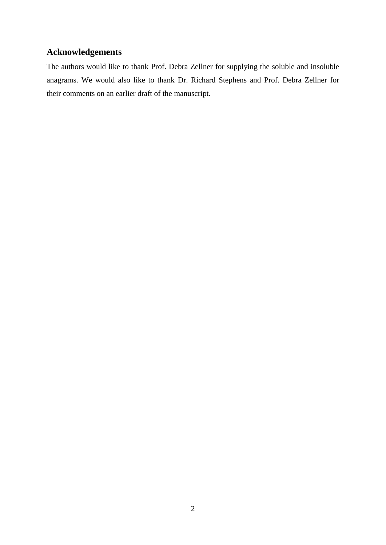## **Acknowledgements**

The authors would like to thank Prof. Debra Zellner for supplying the soluble and insoluble anagrams. We would also like to thank Dr. Richard Stephens and Prof. Debra Zellner for their comments on an earlier draft of the manuscript.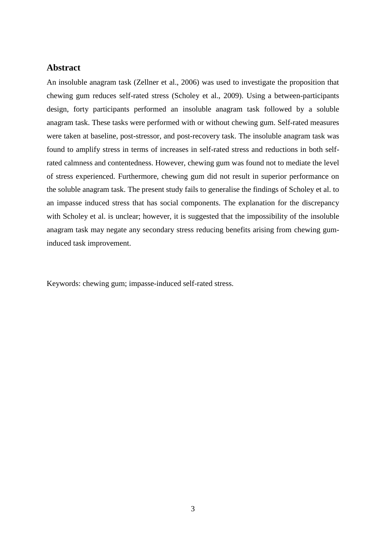### **Abstract**

An insoluble anagram task (Zellner et al., 2006) was used to investigate the proposition that chewing gum reduces self-rated stress (Scholey et al., 2009). Using a between-participants design, forty participants performed an insoluble anagram task followed by a soluble anagram task. These tasks were performed with or without chewing gum. Self-rated measures were taken at baseline, post-stressor, and post-recovery task. The insoluble anagram task was found to amplify stress in terms of increases in self-rated stress and reductions in both selfrated calmness and contentedness. However, chewing gum was found not to mediate the level of stress experienced. Furthermore, chewing gum did not result in superior performance on the soluble anagram task. The present study fails to generalise the findings of Scholey et al. to an impasse induced stress that has social components. The explanation for the discrepancy with Scholey et al. is unclear; however, it is suggested that the impossibility of the insoluble anagram task may negate any secondary stress reducing benefits arising from chewing guminduced task improvement.

Keywords: chewing gum; impasse-induced self-rated stress.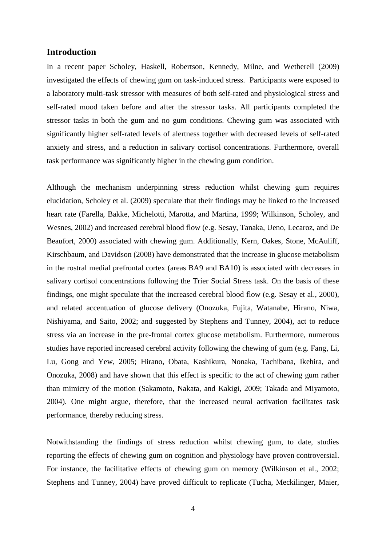#### **Introduction**

In a recent paper Scholey, Haskell, Robertson, Kennedy, Milne, and Wetherell (2009) investigated the effects of chewing gum on task-induced stress. Participants were exposed to a laboratory multi-task stressor with measures of both self-rated and physiological stress and self-rated mood taken before and after the stressor tasks. All participants completed the stressor tasks in both the gum and no gum conditions. Chewing gum was associated with significantly higher self-rated levels of alertness together with decreased levels of self-rated anxiety and stress, and a reduction in salivary cortisol concentrations. Furthermore, overall task performance was significantly higher in the chewing gum condition.

Although the mechanism underpinning stress reduction whilst chewing gum requires elucidation, Scholey et al. (2009) speculate that their findings may be linked to the increased heart rate (Farella, Bakke, Michelotti, Marotta, and Martina, 1999; Wilkinson, Scholey, and Wesnes, 2002) and increased cerebral blood flow (e.g. Sesay, Tanaka, Ueno, Lecaroz, and De Beaufort, 2000) associated with chewing gum. Additionally, Kern, Oakes, Stone, McAuliff, Kirschbaum, and Davidson (2008) have demonstrated that the increase in glucose metabolism in the rostral medial prefrontal cortex (areas BA9 and BA10) is associated with decreases in salivary cortisol concentrations following the Trier Social Stress task. On the basis of these findings, one might speculate that the increased cerebral blood flow (e.g. Sesay et al., 2000), and related accentuation of glucose delivery (Onozuka, Fujita, Watanabe, Hirano, Niwa, Nishiyama, and Saito, 2002; and suggested by Stephens and Tunney, 2004), act to reduce stress via an increase in the pre-frontal cortex glucose metabolism. Furthermore, numerous studies have reported increased cerebral activity following the chewing of gum (e.g. Fang, Li, Lu, Gong and Yew, 2005; Hirano, Obata, Kashikura, Nonaka, Tachibana, Ikehira, and Onozuka, 2008) and have shown that this effect is specific to the act of chewing gum rather than mimicry of the motion (Sakamoto, Nakata, and Kakigi, 2009; Takada and Miyamoto, 2004). One might argue, therefore, that the increased neural activation facilitates task performance, thereby reducing stress.

Notwithstanding the findings of stress reduction whilst chewing gum, to date, studies reporting the effects of chewing gum on cognition and physiology have proven controversial. For instance, the facilitative effects of chewing gum on memory (Wilkinson et al., 2002; Stephens and Tunney, 2004) have proved difficult to replicate (Tucha, Meckilinger, Maier,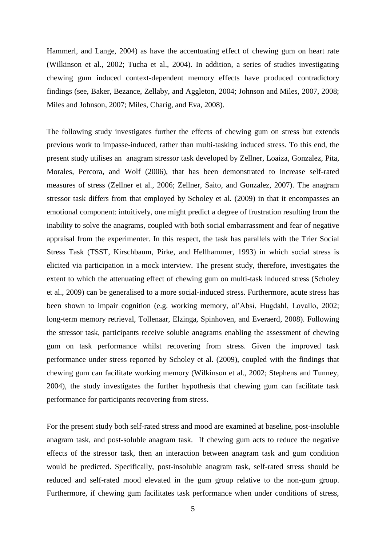Hammerl, and Lange, 2004) as have the accentuating effect of chewing gum on heart rate (Wilkinson et al., 2002; Tucha et al., 2004). In addition, a series of studies investigating chewing gum induced context-dependent memory effects have produced contradictory findings (see, Baker, Bezance, Zellaby, and Aggleton, 2004; Johnson and Miles, 2007, 2008; Miles and Johnson, 2007; Miles, Charig, and Eva, 2008).

The following study investigates further the effects of chewing gum on stress but extends previous work to impasse-induced, rather than multi-tasking induced stress. To this end, the present study utilises an anagram stressor task developed by Zellner, Loaiza, Gonzalez, Pita, Morales, Percora, and Wolf (2006), that has been demonstrated to increase self-rated measures of stress (Zellner et al., 2006; Zellner, Saito, and Gonzalez, 2007). The anagram stressor task differs from that employed by Scholey et al. (2009) in that it encompasses an emotional component: intuitively, one might predict a degree of frustration resulting from the inability to solve the anagrams, coupled with both social embarrassment and fear of negative appraisal from the experimenter. In this respect, the task has parallels with the Trier Social Stress Task (TSST, Kirschbaum, Pirke, and Hellhammer, 1993) in which social stress is elicited via participation in a mock interview. The present study, therefore, investigates the extent to which the attenuating effect of chewing gum on multi-task induced stress (Scholey et al., 2009) can be generalised to a more social-induced stress. Furthermore, acute stress has been shown to impair cognition (e.g. working memory, al'Absi, Hugdahl, Lovallo, 2002; long-term memory retrieval, Tollenaar, Elzinga, Spinhoven, and Everaerd, 2008). Following the stressor task, participants receive soluble anagrams enabling the assessment of chewing gum on task performance whilst recovering from stress. Given the improved task performance under stress reported by Scholey et al. (2009), coupled with the findings that chewing gum can facilitate working memory (Wilkinson et al., 2002; Stephens and Tunney, 2004), the study investigates the further hypothesis that chewing gum can facilitate task performance for participants recovering from stress.

For the present study both self-rated stress and mood are examined at baseline, post-insoluble anagram task, and post-soluble anagram task. If chewing gum acts to reduce the negative effects of the stressor task, then an interaction between anagram task and gum condition would be predicted. Specifically, post-insoluble anagram task, self-rated stress should be reduced and self-rated mood elevated in the gum group relative to the non-gum group. Furthermore, if chewing gum facilitates task performance when under conditions of stress,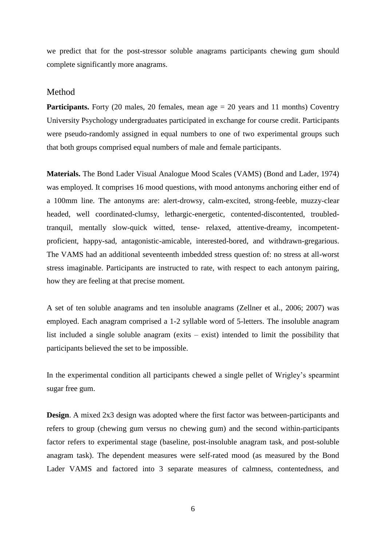we predict that for the post-stressor soluble anagrams participants chewing gum should complete significantly more anagrams.

#### Method

**Participants.** Forty (20 males, 20 females, mean age = 20 years and 11 months) Coventry University Psychology undergraduates participated in exchange for course credit. Participants were pseudo-randomly assigned in equal numbers to one of two experimental groups such that both groups comprised equal numbers of male and female participants.

**Materials.** The Bond Lader Visual Analogue Mood Scales (VAMS) (Bond and Lader, 1974) was employed. It comprises 16 mood questions, with mood antonyms anchoring either end of a 100mm line. The antonyms are: alert-drowsy, calm-excited, strong-feeble, muzzy-clear headed, well coordinated-clumsy, lethargic-energetic, contented-discontented, troubledtranquil, mentally slow-quick witted, tense- relaxed, attentive-dreamy, incompetentproficient, happy-sad, antagonistic-amicable, interested-bored, and withdrawn-gregarious. The VAMS had an additional seventeenth imbedded stress question of: no stress at all-worst stress imaginable. Participants are instructed to rate, with respect to each antonym pairing, how they are feeling at that precise moment.

A set of ten soluble anagrams and ten insoluble anagrams (Zellner et al., 2006; 2007) was employed. Each anagram comprised a 1-2 syllable word of 5-letters. The insoluble anagram list included a single soluble anagram (exits – exist) intended to limit the possibility that participants believed the set to be impossible.

In the experimental condition all participants chewed a single pellet of Wrigley's spearmint sugar free gum.

**Design**. A mixed 2x3 design was adopted where the first factor was between-participants and refers to group (chewing gum versus no chewing gum) and the second within-participants factor refers to experimental stage (baseline, post-insoluble anagram task, and post-soluble anagram task). The dependent measures were self-rated mood (as measured by the Bond Lader VAMS and factored into 3 separate measures of calmness, contentedness, and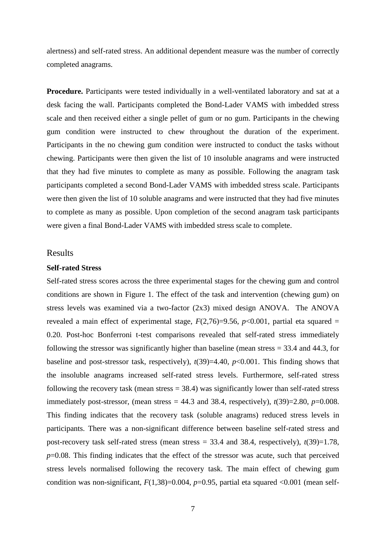alertness) and self-rated stress. An additional dependent measure was the number of correctly completed anagrams.

**Procedure.** Participants were tested individually in a well-ventilated laboratory and sat at a desk facing the wall. Participants completed the Bond-Lader VAMS with imbedded stress scale and then received either a single pellet of gum or no gum. Participants in the chewing gum condition were instructed to chew throughout the duration of the experiment. Participants in the no chewing gum condition were instructed to conduct the tasks without chewing. Participants were then given the list of 10 insoluble anagrams and were instructed that they had five minutes to complete as many as possible. Following the anagram task participants completed a second Bond-Lader VAMS with imbedded stress scale. Participants were then given the list of 10 soluble anagrams and were instructed that they had five minutes to complete as many as possible. Upon completion of the second anagram task participants were given a final Bond-Lader VAMS with imbedded stress scale to complete.

#### Results

#### **Self-rated Stress**

Self-rated stress scores across the three experimental stages for the chewing gum and control conditions are shown in Figure 1. The effect of the task and intervention (chewing gum) on stress levels was examined via a two-factor (2x3) mixed design ANOVA. The ANOVA revealed a main effect of experimental stage,  $F(2,76)=9.56$ ,  $p<0.001$ , partial eta squared = 0.20. Post-hoc Bonferroni t-test comparisons revealed that self-rated stress immediately following the stressor was significantly higher than baseline (mean stress = 33.4 and 44.3, for baseline and post-stressor task, respectively),  $t(39)=4.40$ ,  $p<0.001$ . This finding shows that the insoluble anagrams increased self-rated stress levels. Furthermore, self-rated stress following the recovery task (mean stress = 38.4) was significantly lower than self-rated stress immediately post-stressor, (mean stress  $= 44.3$  and 38.4, respectively),  $t(39)=2.80$ ,  $p=0.008$ . This finding indicates that the recovery task (soluble anagrams) reduced stress levels in participants. There was a non-significant difference between baseline self-rated stress and post-recovery task self-rated stress (mean stress  $=$  33.4 and 38.4, respectively),  $t(39)=1.78$ , *p*=0.08. This finding indicates that the effect of the stressor was acute, such that perceived stress levels normalised following the recovery task. The main effect of chewing gum condition was non-significant,  $F(1,38)=0.004$ ,  $p=0.95$ , partial eta squared <0.001 (mean self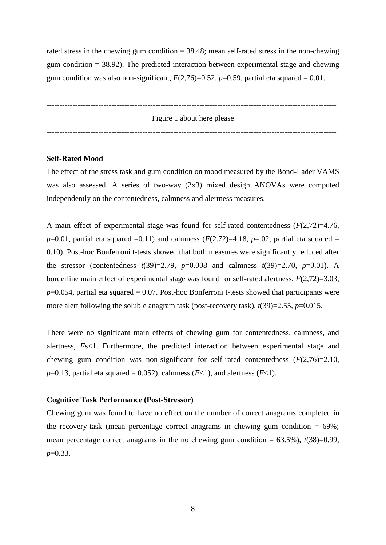rated stress in the chewing gum condition  $=$  38.48; mean self-rated stress in the non-chewing gum condition = 38.92). The predicted interaction between experimental stage and chewing gum condition was also non-significant,  $F(2,76)=0.52$ ,  $p=0.59$ , partial eta squared = 0.01.

Figure 1 about here please

----------------------------------------------------------------------------------------------------------------

----------------------------------------------------------------------------------------------------------------

#### **Self-Rated Mood**

The effect of the stress task and gum condition on mood measured by the Bond-Lader VAMS was also assessed. A series of two-way (2x3) mixed design ANOVAs were computed independently on the contentedness, calmness and alertness measures.

A main effect of experimental stage was found for self-rated contentedness (*F*(2,72)=4.76,  $p=0.01$ , partial eta squared  $=0.11$ ) and calmness  $(F(2.72)=4.18, p=.02$ , partial eta squared  $=$ 0.10). Post-hoc Bonferroni t-tests showed that both measures were significantly reduced after the stressor (contentedness  $t(39)=2.79$ ,  $p=0.008$  and calmness  $t(39)=2.70$ ,  $p=0.01$ ). A borderline main effect of experimental stage was found for self-rated alertness, *F*(2,72)=3.03,  $p=0.054$ , partial eta squared = 0.07. Post-hoc Bonferroni t-tests showed that participants were more alert following the soluble anagram task (post-recovery task),  $t(39)=2.55$ ,  $p=0.015$ .

There were no significant main effects of chewing gum for contentedness, calmness, and alertness, *F*s<1. Furthermore, the predicted interaction between experimental stage and chewing gum condition was non-significant for self-rated contentedness (*F*(2,76)=2.10,  $p=0.13$ , partial eta squared = 0.052), calmness ( $F<1$ ), and alertness ( $F<1$ ).

#### **Cognitive Task Performance (Post-Stressor)**

Chewing gum was found to have no effect on the number of correct anagrams completed in the recovery-task (mean percentage correct anagrams in chewing gum condition  $= 69\%$ ; mean percentage correct anagrams in the no chewing gum condition  $= 63.5\%$ ),  $t(38)=0.99$ , *p*=0.33.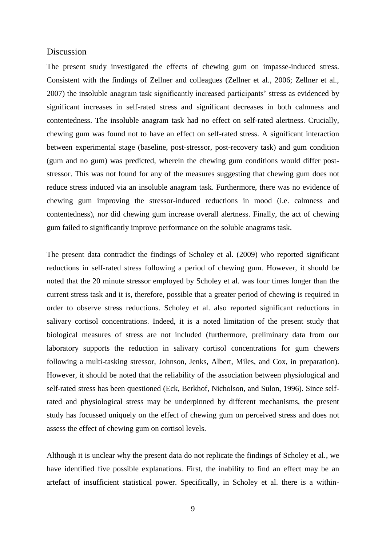#### Discussion

The present study investigated the effects of chewing gum on impasse-induced stress. Consistent with the findings of Zellner and colleagues (Zellner et al., 2006; Zellner et al., 2007) the insoluble anagram task significantly increased participants' stress as evidenced by significant increases in self-rated stress and significant decreases in both calmness and contentedness. The insoluble anagram task had no effect on self-rated alertness. Crucially, chewing gum was found not to have an effect on self-rated stress. A significant interaction between experimental stage (baseline, post-stressor, post-recovery task) and gum condition (gum and no gum) was predicted, wherein the chewing gum conditions would differ poststressor. This was not found for any of the measures suggesting that chewing gum does not reduce stress induced via an insoluble anagram task. Furthermore, there was no evidence of chewing gum improving the stressor-induced reductions in mood (i.e. calmness and contentedness), nor did chewing gum increase overall alertness. Finally, the act of chewing gum failed to significantly improve performance on the soluble anagrams task.

The present data contradict the findings of Scholey et al. (2009) who reported significant reductions in self-rated stress following a period of chewing gum. However, it should be noted that the 20 minute stressor employed by Scholey et al. was four times longer than the current stress task and it is, therefore, possible that a greater period of chewing is required in order to observe stress reductions. Scholey et al. also reported significant reductions in salivary cortisol concentrations. Indeed, it is a noted limitation of the present study that biological measures of stress are not included (furthermore, preliminary data from our laboratory supports the reduction in salivary cortisol concentrations for gum chewers following a multi-tasking stressor, Johnson, Jenks, Albert, Miles, and Cox, in preparation). However, it should be noted that the reliability of the association between physiological and self-rated stress has been questioned (Eck, Berkhof, Nicholson, and Sulon, 1996). Since selfrated and physiological stress may be underpinned by different mechanisms, the present study has focussed uniquely on the effect of chewing gum on perceived stress and does not assess the effect of chewing gum on cortisol levels.

Although it is unclear why the present data do not replicate the findings of Scholey et al., we have identified five possible explanations. First, the inability to find an effect may be an artefact of insufficient statistical power. Specifically, in Scholey et al. there is a within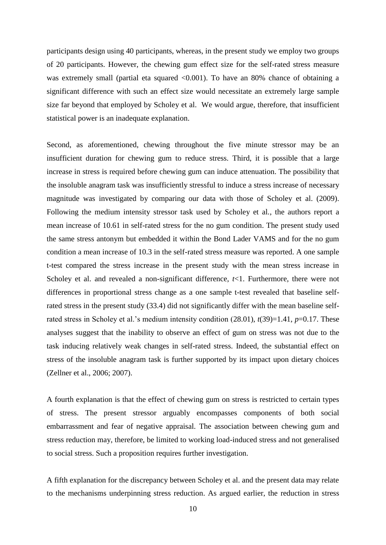participants design using 40 participants, whereas, in the present study we employ two groups of 20 participants. However, the chewing gum effect size for the self-rated stress measure was extremely small (partial eta squared <0.001). To have an 80% chance of obtaining a significant difference with such an effect size would necessitate an extremely large sample size far beyond that employed by Scholey et al. We would argue, therefore, that insufficient statistical power is an inadequate explanation.

Second, as aforementioned, chewing throughout the five minute stressor may be an insufficient duration for chewing gum to reduce stress. Third, it is possible that a large increase in stress is required before chewing gum can induce attenuation. The possibility that the insoluble anagram task was insufficiently stressful to induce a stress increase of necessary magnitude was investigated by comparing our data with those of Scholey et al. (2009). Following the medium intensity stressor task used by Scholey et al., the authors report a mean increase of 10.61 in self-rated stress for the no gum condition. The present study used the same stress antonym but embedded it within the Bond Lader VAMS and for the no gum condition a mean increase of 10.3 in the self-rated stress measure was reported. A one sample t-test compared the stress increase in the present study with the mean stress increase in Scholey et al. and revealed a non-significant difference,  $t$ <1. Furthermore, there were not differences in proportional stress change as a one sample t-test revealed that baseline selfrated stress in the present study (33.4) did not significantly differ with the mean baseline selfrated stress in Scholey et al.'s medium intensity condition (28.01), *t*(39)=1.41, *p*=0.17. These analyses suggest that the inability to observe an effect of gum on stress was not due to the task inducing relatively weak changes in self-rated stress. Indeed, the substantial effect on stress of the insoluble anagram task is further supported by its impact upon dietary choices (Zellner et al., 2006; 2007).

A fourth explanation is that the effect of chewing gum on stress is restricted to certain types of stress. The present stressor arguably encompasses components of both social embarrassment and fear of negative appraisal. The association between chewing gum and stress reduction may, therefore, be limited to working load-induced stress and not generalised to social stress. Such a proposition requires further investigation.

A fifth explanation for the discrepancy between Scholey et al. and the present data may relate to the mechanisms underpinning stress reduction. As argued earlier, the reduction in stress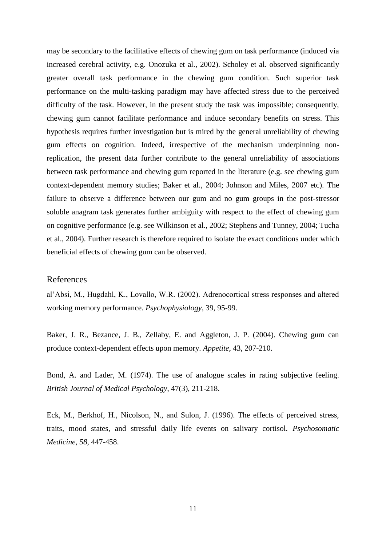may be secondary to the facilitative effects of chewing gum on task performance (induced via increased cerebral activity, e.g. Onozuka et al., 2002). Scholey et al. observed significantly greater overall task performance in the chewing gum condition. Such superior task performance on the multi-tasking paradigm may have affected stress due to the perceived difficulty of the task. However, in the present study the task was impossible; consequently, chewing gum cannot facilitate performance and induce secondary benefits on stress. This hypothesis requires further investigation but is mired by the general unreliability of chewing gum effects on cognition. Indeed, irrespective of the mechanism underpinning nonreplication, the present data further contribute to the general unreliability of associations between task performance and chewing gum reported in the literature (e.g. see chewing gum context-dependent memory studies; Baker et al., 2004; Johnson and Miles, 2007 etc). The failure to observe a difference between our gum and no gum groups in the post-stressor soluble anagram task generates further ambiguity with respect to the effect of chewing gum on cognitive performance (e.g. see Wilkinson et al., 2002; Stephens and Tunney, 2004; Tucha et al., 2004). Further research is therefore required to isolate the exact conditions under which beneficial effects of chewing gum can be observed.

#### References

al'Absi, M., Hugdahl, K., Lovallo, W.R. (2002). Adrenocortical stress responses and altered working memory performance. *Psychophysiology*, 39, 95-99.

Baker, J. R., Bezance, J. B., Zellaby, E. and Aggleton, J. P. (2004). Chewing gum can produce context-dependent effects upon memory. *Appetite*, 43, 207-210.

Bond, A. and Lader, M. (1974). The use of analogue scales in rating subjective feeling. *British Journal of Medical Psychology*, 47(3), 211-218.

Eck, M., Berkhof, H., Nicolson, N., and Sulon, J. (1996). The effects of perceived stress, traits, mood states, and stressful daily life events on salivary cortisol. *Psychosomatic Medicine, 58*, 447-458.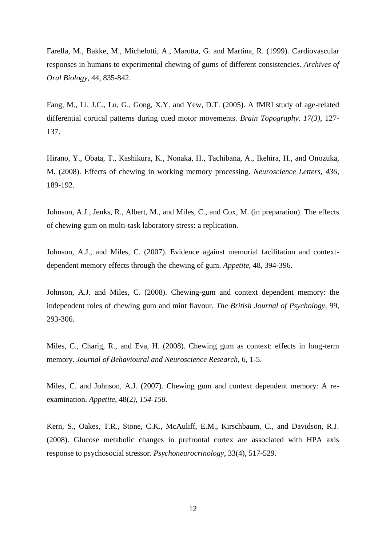Farella, M., Bakke, M., Michelotti, A., Marotta, G. and Martina, R. (1999). Cardiovascular responses in humans to experimental chewing of gums of different consistencies. *Archives of Oral Biology*, 44, 835-842.

Fang, M., Li, J.C., Lu, G., Gong, X.Y. and Yew, D.T. (2005). A fMRI study of age-related differential cortical patterns during cued motor movements. *Brain Topography. 17(3)*, 127- 137.

Hirano, Y., Obata, T., Kashikura, K., Nonaka, H., Tachibana, A., Ikehira, H., and Onozuka, M. (2008). Effects of chewing in working memory processing. *Neuroscience Letters, 436*, 189-192.

Johnson, A.J., Jenks, R., Albert, M., and Miles, C., and Cox, M. (in preparation). The effects of chewing gum on multi-task laboratory stress: a replication.

Johnson, A.J., and Miles, C. (2007). Evidence against memorial facilitation and contextdependent memory effects through the chewing of gum. *Appetite*, 48, 394-396.

Johnson, A.J. and Miles, C. (2008). Chewing-gum and context dependent memory: the independent roles of chewing gum and mint flavour. *The British Journal of Psychology*, 99, 293-306.

Miles, C., Charig, R., and Eva, H. (2008). Chewing gum as context: effects in long-term memory. *Journal of Behavioural and Neuroscience Research*, 6, 1-5.

Miles, C. and Johnson, A.J. (2007). Chewing gum and context dependent memory: A reexamination. *Appetite*, 48(2*)*, *154-158.*

Kern, S., Oakes, T.R., Stone, C.K., McAuliff, E.M., Kirschbaum, C., and Davidson, R.J. (2008). Glucose metabolic changes in prefrontal cortex are associated with HPA axis response to psychosocial stressor. *Psychoneurocrinology*, 33(4), 517-529.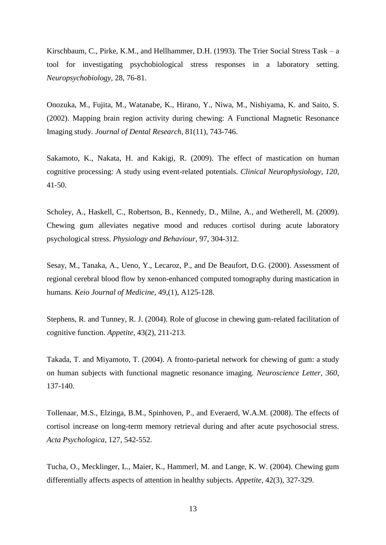Kirschbaum, C., Pirke, K.M., and Hellhammer, D.H. (1993). The Trier Social Stress Task – a tool for investigating psychobiological stress responses in a laboratory setting. *Neuropsychobiology*, 28, 76-81.

Onozuka, M., Fujita, M., Watanabe, K., Hirano, Y., Niwa, M., Nishiyama, K. and Saito, S. (2002). Mapping brain region activity during chewing: A Functional Magnetic Resonance Imaging study*. Journal of Dental Research*, 81(11), 743-746.

Sakamoto, K., Nakata, H. and Kakigi, R. (2009). The effect of mastication on human cognitive processing: A study using event-related potentials. *Clinical Neurophysiology, 120*, 41-50.

Scholey, A., Haskell, C., Robertson, B., Kennedy, D., Milne, A., and Wetherell, M. (2009). Chewing gum alleviates negative mood and reduces cortisol during acute laboratory psychological stress. *Physiology and Behaviour*, 97, 304-312.

Sesay, M., Tanaka, A., Ueno, Y., Lecaroz, P., and De Beaufort, D.G. (2000). Assessment of regional cerebral blood flow by xenon-enhanced computed tomography during mastication in humans. *Keio Journal of Medicine*, 49,(1), A125-128.

Stephens, R. and Tunney, R. J. (2004). Role of glucose in chewing gum-related facilitation of cognitive function. *Appetite*, 43(2), 211-213.

Takada, T. and Miyamoto, T. (2004). A fronto-parietal network for chewing of gum: a study on human subjects with functional magnetic resonance imaging. *Neuroscience Letter, 360*, 137-140.

Tollenaar, M.S., Elzinga, B.M., Spinhoven, P., and Everaerd, W.A.M. (2008). The effects of cortisol increase on long-term memory retrieval during and after acute psychosocial stress. *Acta Psychologica*, 127, 542-552.

Tucha, O., Mecklinger, L., Maier, K., Hammerl, M. and Lange, K. W. (2004). Chewing gum differentially affects aspects of attention in healthy subjects. *Appetite*, 42(3), 327-329.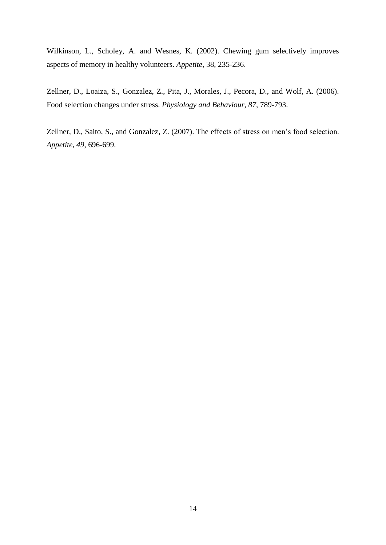Wilkinson, L., Scholey, A. and Wesnes, K. (2002). Chewing gum selectively improves aspects of memory in healthy volunteers. *Appetite*, 38, 235-236.

Zellner, D., Loaiza, S., Gonzalez, Z., Pita, J., Morales, J., Pecora, D., and Wolf, A. (2006). Food selection changes under stress. *Physiology and Behaviour, 87*, 789-793.

Zellner, D., Saito, S., and Gonzalez, Z. (2007). The effects of stress on men's food selection. *Appetite, 49*, 696-699.